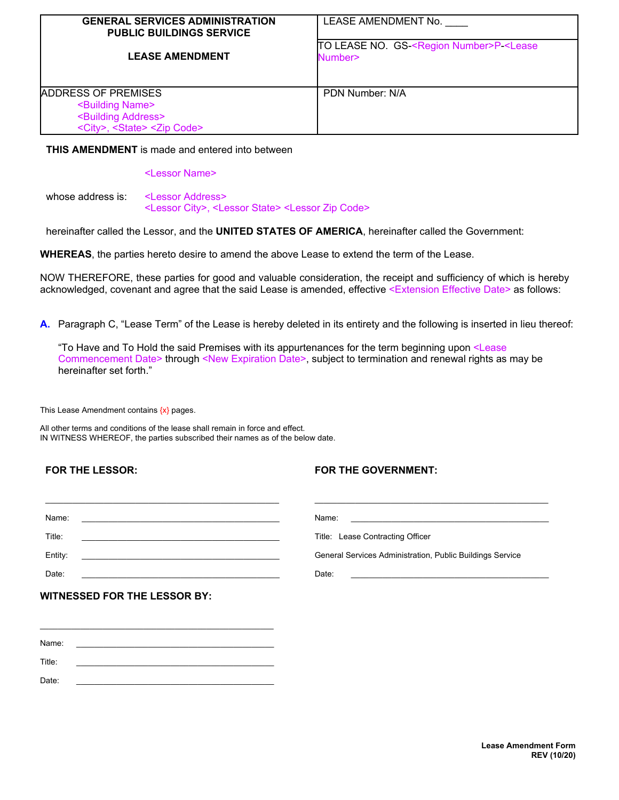| <b>GENERAL SERVICES ADMINISTRATION</b><br><b>PUBLIC BUILDINGS SERVICE</b>                                                                        | LEASE AMENDMENT No.                                                          |
|--------------------------------------------------------------------------------------------------------------------------------------------------|------------------------------------------------------------------------------|
| <b>LEASE AMENDMENT</b>                                                                                                                           | TO LEASE NO. GS <region number="">P <lease<br>Number&gt;</lease<br></region> |
| ADDRESS OF PREMISES<br><building name=""><br/><building address=""><br/><city>, <state> <zip code=""></zip></state></city></building></building> | PDN Number: N/A                                                              |

## **THIS AMENDMENT** is made and entered into between

<Lessor Name>

whose address is: <Lessor Address> <Lessor City>, <Lessor State> <Lessor Zip Code>

hereinafter called the Lessor, and the **UNITED STATES OF AMERICA**, hereinafter called the Government:

**WHEREAS**, the parties hereto desire to amend the above Lease to extend the term of the Lease.

NOW THEREFORE, these parties for good and valuable consideration, the receipt and sufficiency of which is hereby acknowledged, covenant and agree that the said Lease is amended, effective <Extension Effective Date> as follows:

**A.** Paragraph C, "Lease Term" of the Lease is hereby deleted in its entirety and the following is inserted in lieu thereof:

"To Have and To Hold the said Premises with its appurtenances for the term beginning upon <Lease Commencement Date> through <New Expiration Date>, subject to termination and renewal rights as may be hereinafter set forth."

This Lease Amendment contains  $\{x\}$  pages.

All other terms and conditions of the lease shall remain in force and effect. IN WITNESS WHEREOF, the parties subscribed their names as of the below date.

## **FOR THE LESSOR:**

## **FOR THE GOVERNMENT:**

| Name:                                                                                                                                                                                                                                           | Name:                                                                                                      |
|-------------------------------------------------------------------------------------------------------------------------------------------------------------------------------------------------------------------------------------------------|------------------------------------------------------------------------------------------------------------|
| <u> 1980 - Jan Barbara, martin da basar da basar da basar da basar da basar da basar da basar da basar da basar</u>                                                                                                                             | <u> 1980 - Jan Samuel Barbara, margaret e populazion del control de la provincia de la provincia del c</u> |
| Title:<br><u> 1989 - John Stein, Amerikaansk politiker (* 1918)</u>                                                                                                                                                                             | Title: Lease Contracting Officer                                                                           |
| Entity:<br><u> 1989 - Johann Stoff, deutscher Stoffen und der Stoffen und der Stoffen und der Stoffen und der Stoffen und der Stoffen und der Stoffen und der Stoffen und der Stoffen und der Stoffen und der Stoffen und der Stoffen und d</u> | General Services Administration, Public Buildings Service                                                  |
| Date:                                                                                                                                                                                                                                           | Date:                                                                                                      |
|                                                                                                                                                                                                                                                 |                                                                                                            |

\_\_\_\_\_\_\_\_\_\_\_\_\_\_\_\_\_\_\_\_\_\_\_\_\_\_\_\_\_\_\_\_\_\_\_\_\_\_\_\_\_\_\_\_\_\_\_\_\_\_\_\_ Name: \_\_\_\_\_\_\_\_\_\_\_\_\_\_\_\_\_\_\_\_\_\_\_\_\_\_\_\_\_\_\_\_\_\_\_\_\_\_\_\_\_\_\_\_ Title: \_\_\_\_\_\_\_\_\_\_\_\_\_\_\_\_\_\_\_\_\_\_\_\_\_\_\_\_\_\_\_\_\_\_\_\_\_\_\_\_\_\_\_\_ Date: \_\_\_\_\_\_\_\_\_\_\_\_\_\_\_\_\_\_\_\_\_\_\_\_\_\_\_\_\_\_\_\_\_\_\_\_\_\_\_\_\_\_\_\_